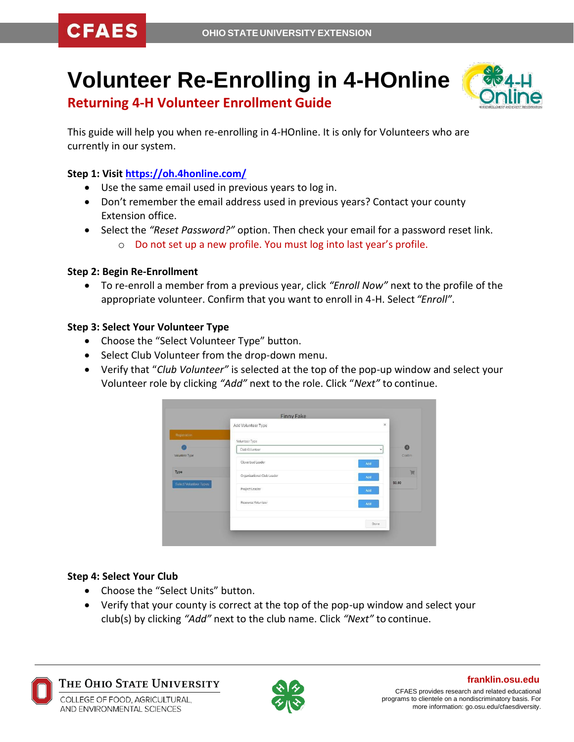# **Volunteer Re-Enrolling in 4-HOnline**



**Returning 4-H Volunteer Enrollment Guide**

This guide will help you when re-enrolling in 4-HOnline. It is only for Volunteers who are currently in our system.

### **Step 1: Visit [https://oh.4honline.com/](https://v2.4honline.com/)**

- Use the same email used in previous years to log in.
- Don't remember the email address used in previous years? Contact your county Extension office.
- Select the *"Reset Password?"* option. Then check your email for a password reset link.
	- o Do not set up a new profile. You must log into last year's profile.

#### **Step 2: Begin Re-Enrollment**

• To re-enroll a member from a previous year, click *"Enroll Now"* next to the profile of the appropriate volunteer. Confirm that you want to enroll in 4-H. Select *"Enroll"*.

#### **Step 3: Select Your Volunteer Type**

- Choose the "Select Volunteer Type" button.
- Select Club Volunteer from the drop-down menu.
- Verify that "*Club Volunteer"* is selected at the top of the pop-up window and select your Volunteer role by clicking *"Add"* next to the role. Click "*Next"* to continue.

|                                | Add Volunteer Type         | $\times$     |              |
|--------------------------------|----------------------------|--------------|--------------|
| Registration                   | Volunteer Type             |              |              |
| Volunteer Type                 | Club Volunteer             | $\checkmark$ | $\mathbf{O}$ |
|                                | Cloverbud Leader           | Add          | Confirm      |
| Type<br>Select Volunteer Types | Organizational Club Leader | Add          | Ħ            |
|                                | Project Leader             | Add          | \$0.00       |
|                                | Resource Volunteer         | Add          |              |
|                                |                            | Done         |              |

#### **Step 4: Select Your Club**

- Choose the "Select Units" button.
- Verify that your county is correct at the top of the pop-up window and select your club(s) by clicking *"Add"* next to the club name. Click *"Next"* to continue.



The Ohio State University COLLEGE OF FOOD, AGRICULTURAL,

AND ENVIRONMENTAL SCIENCES



**franklin.osu.edu** CFAES provides research and related educational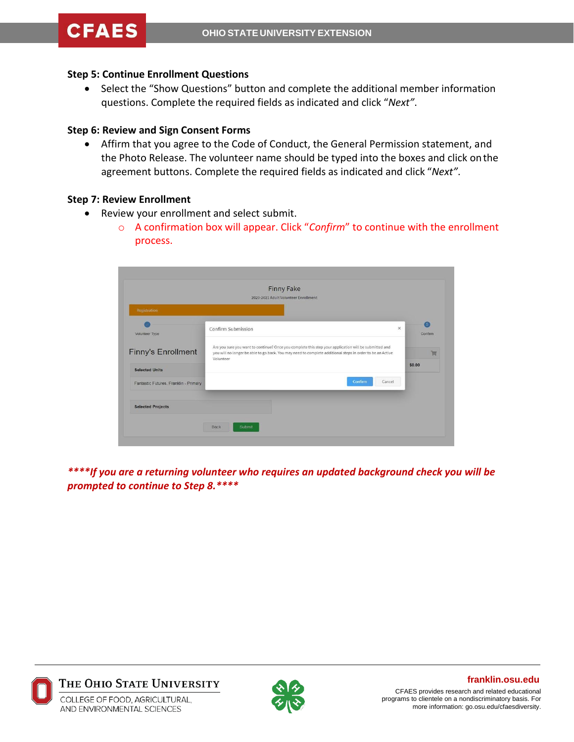#### **Step 5: Continue Enrollment Questions**

• Select the "Show Questions" button and complete the additional member information questions. Complete the required fields as indicated and click "*Next"*.

#### **Step 6: Review and Sign Consent Forms**

• Affirm that you agree to the Code of Conduct, the General Permission statement, and the Photo Release. The volunteer name should be typed into the boxes and click onthe agreement buttons. Complete the required fields as indicated and click "*Next"*.

#### **Step 7: Review Enrollment**

- Review your enrollment and select submit.
	- o A confirmation box will appear. Click "*Confirm*" to continue with the enrollment process.

|                                       | <b>Finny Fake</b><br>2020-2021 Adult Volunteer Enrollment                                                                                                                                                                       |              |
|---------------------------------------|---------------------------------------------------------------------------------------------------------------------------------------------------------------------------------------------------------------------------------|--------------|
| Registration                          |                                                                                                                                                                                                                                 |              |
| Volunteer Type                        | Confirm Submission<br>×                                                                                                                                                                                                         | 5<br>Confirm |
| <b>Finny's Enrollment</b>             | Are you sure you want to continue? Once you complete this step your application will be submitted and<br>you will no longer be able to go back. You may need to complete additional steps in order to be an Active<br>Volunteer |              |
| <b>Selected Units</b>                 |                                                                                                                                                                                                                                 |              |
| Fantastic Futures, Franklin - Primary | Confirm<br>Cancel                                                                                                                                                                                                               |              |
| <b>Selected Projects</b>              |                                                                                                                                                                                                                                 |              |

*\*\*\*\*If you are a returning volunteer who requires an updated background check you will be prompted to continue to Step 8.\*\*\*\**





#### **franklin.osu.edu**

CFAES provides research and related educational programs to clientele on a nondiscriminatory basis. For more information: go.osu.edu/cfaesdiversity.